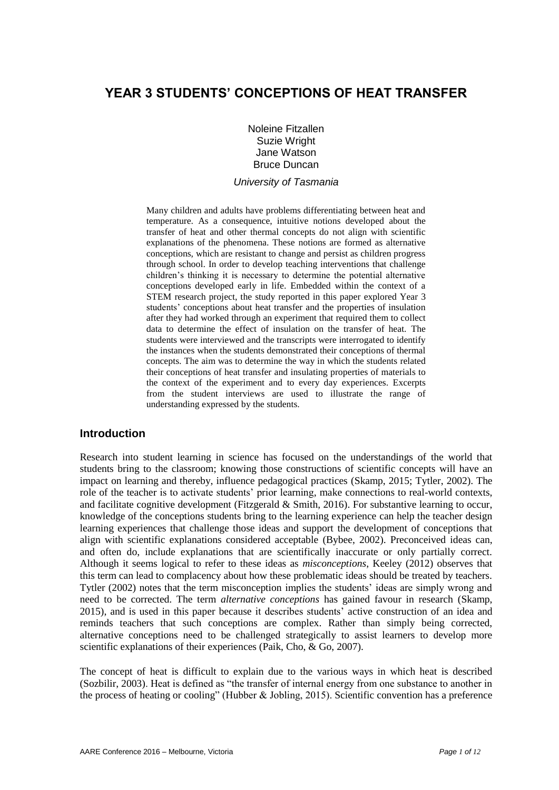# **YEAR 3 STUDENTS' CONCEPTIONS OF HEAT TRANSFER**

Noleine Fitzallen Suzie Wright Jane Watson Bruce Duncan

#### *University of Tasmania*

Many children and adults have problems differentiating between heat and temperature. As a consequence, intuitive notions developed about the transfer of heat and other thermal concepts do not align with scientific explanations of the phenomena. These notions are formed as alternative conceptions, which are resistant to change and persist as children progress through school. In order to develop teaching interventions that challenge children's thinking it is necessary to determine the potential alternative conceptions developed early in life. Embedded within the context of a STEM research project, the study reported in this paper explored Year 3 students' conceptions about heat transfer and the properties of insulation after they had worked through an experiment that required them to collect data to determine the effect of insulation on the transfer of heat. The students were interviewed and the transcripts were interrogated to identify the instances when the students demonstrated their conceptions of thermal concepts. The aim was to determine the way in which the students related their conceptions of heat transfer and insulating properties of materials to the context of the experiment and to every day experiences. Excerpts from the student interviews are used to illustrate the range of understanding expressed by the students.

# **Introduction**

Research into student learning in science has focused on the understandings of the world that students bring to the classroom; knowing those constructions of scientific concepts will have an impact on learning and thereby, influence pedagogical practices (Skamp, 2015; Tytler, 2002). The role of the teacher is to activate students' prior learning, make connections to real-world contexts, and facilitate cognitive development (Fitzgerald & Smith, 2016). For substantive learning to occur, knowledge of the conceptions students bring to the learning experience can help the teacher design learning experiences that challenge those ideas and support the development of conceptions that align with scientific explanations considered acceptable (Bybee, 2002). Preconceived ideas can, and often do, include explanations that are scientifically inaccurate or only partially correct. Although it seems logical to refer to these ideas as *misconceptions*, Keeley (2012) observes that this term can lead to complacency about how these problematic ideas should be treated by teachers. Tytler (2002) notes that the term misconception implies the students' ideas are simply wrong and need to be corrected. The term *alternative conceptions* has gained favour in research (Skamp, 2015), and is used in this paper because it describes students' active construction of an idea and reminds teachers that such conceptions are complex. Rather than simply being corrected, alternative conceptions need to be challenged strategically to assist learners to develop more scientific explanations of their experiences (Paik, Cho, & Go, 2007).

The concept of heat is difficult to explain due to the various ways in which heat is described (Sozbilir, 2003). Heat is defined as "the transfer of internal energy from one substance to another in the process of heating or cooling" (Hubber  $&$  Jobling, 2015). Scientific convention has a preference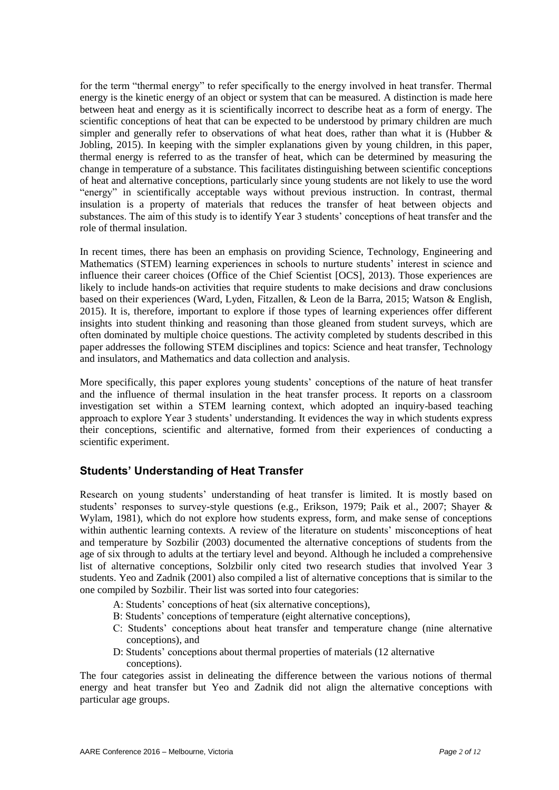for the term "thermal energy" to refer specifically to the energy involved in heat transfer. Thermal energy is the kinetic energy of an object or system that can be measured. A distinction is made here between heat and energy as it is scientifically incorrect to describe heat as a form of energy. The scientific conceptions of heat that can be expected to be understood by primary children are much simpler and generally refer to observations of what heat does, rather than what it is (Hubber  $\&$ Jobling, 2015). In keeping with the simpler explanations given by young children, in this paper, thermal energy is referred to as the transfer of heat, which can be determined by measuring the change in temperature of a substance. This facilitates distinguishing between scientific conceptions of heat and alternative conceptions, particularly since young students are not likely to use the word "energy" in scientifically acceptable ways without previous instruction. In contrast, thermal insulation is a property of materials that reduces the transfer of heat between objects and substances. The aim of this study is to identify Year 3 students' conceptions of heat transfer and the role of thermal insulation.

In recent times, there has been an emphasis on providing Science, Technology, Engineering and Mathematics (STEM) learning experiences in schools to nurture students' interest in science and influence their career choices (Office of the Chief Scientist [OCS], 2013). Those experiences are likely to include hands-on activities that require students to make decisions and draw conclusions based on their experiences (Ward, Lyden, Fitzallen, & Leon de la Barra, 2015; Watson & English, 2015). It is, therefore, important to explore if those types of learning experiences offer different insights into student thinking and reasoning than those gleaned from student surveys, which are often dominated by multiple choice questions. The activity completed by students described in this paper addresses the following STEM disciplines and topics: Science and heat transfer, Technology and insulators, and Mathematics and data collection and analysis.

More specifically, this paper explores young students' conceptions of the nature of heat transfer and the influence of thermal insulation in the heat transfer process. It reports on a classroom investigation set within a STEM learning context, which adopted an inquiry-based teaching approach to explore Year 3 students' understanding. It evidences the way in which students express their conceptions, scientific and alternative, formed from their experiences of conducting a scientific experiment.

# **Students' Understanding of Heat Transfer**

Research on young students' understanding of heat transfer is limited. It is mostly based on students' responses to survey-style questions (e.g., Erikson, 1979; Paik et al., 2007; Shayer & Wylam, 1981), which do not explore how students express, form, and make sense of conceptions within authentic learning contexts. A review of the literature on students' misconceptions of heat and temperature by Sozbilir (2003) documented the alternative conceptions of students from the age of six through to adults at the tertiary level and beyond. Although he included a comprehensive list of alternative conceptions, Solzbilir only cited two research studies that involved Year 3 students. Yeo and Zadnik (2001) also compiled a list of alternative conceptions that is similar to the one compiled by Sozbilir. Their list was sorted into four categories:

- A: Students' conceptions of heat (six alternative conceptions),
- B: Students' conceptions of temperature (eight alternative conceptions),
- C: Students' conceptions about heat transfer and temperature change (nine alternative conceptions), and
- D: Students' conceptions about thermal properties of materials (12 alternative conceptions).

The four categories assist in delineating the difference between the various notions of thermal energy and heat transfer but Yeo and Zadnik did not align the alternative conceptions with particular age groups.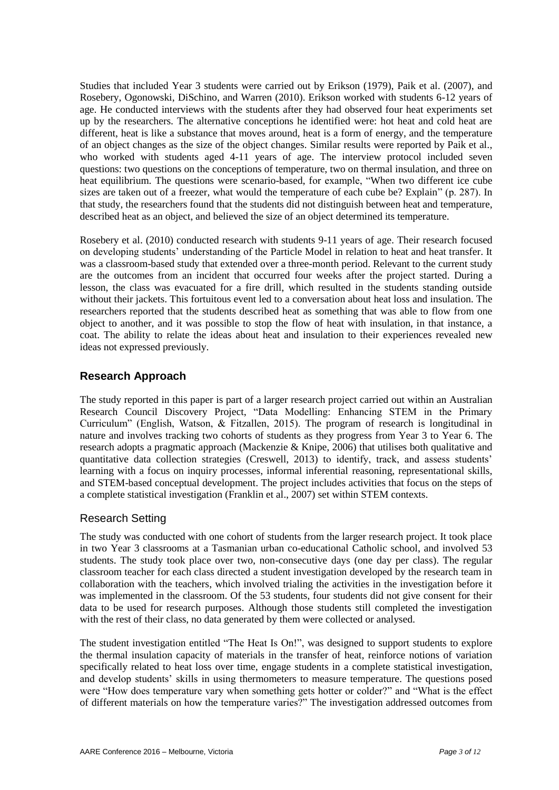Studies that included Year 3 students were carried out by Erikson (1979), Paik et al. (2007), and Rosebery, Ogonowski, DiSchino, and Warren (2010). Erikson worked with students 6-12 years of age. He conducted interviews with the students after they had observed four heat experiments set up by the researchers. The alternative conceptions he identified were: hot heat and cold heat are different, heat is like a substance that moves around, heat is a form of energy, and the temperature of an object changes as the size of the object changes. Similar results were reported by Paik et al., who worked with students aged 4-11 years of age. The interview protocol included seven questions: two questions on the conceptions of temperature, two on thermal insulation, and three on heat equilibrium. The questions were scenario-based, for example, "When two different ice cube sizes are taken out of a freezer, what would the temperature of each cube be? Explain" (p. 287). In that study, the researchers found that the students did not distinguish between heat and temperature, described heat as an object, and believed the size of an object determined its temperature.

Rosebery et al. (2010) conducted research with students 9-11 years of age. Their research focused on developing students' understanding of the Particle Model in relation to heat and heat transfer. It was a classroom-based study that extended over a three-month period. Relevant to the current study are the outcomes from an incident that occurred four weeks after the project started. During a lesson, the class was evacuated for a fire drill, which resulted in the students standing outside without their jackets. This fortuitous event led to a conversation about heat loss and insulation. The researchers reported that the students described heat as something that was able to flow from one object to another, and it was possible to stop the flow of heat with insulation, in that instance, a coat. The ability to relate the ideas about heat and insulation to their experiences revealed new ideas not expressed previously.

# **Research Approach**

The study reported in this paper is part of a larger research project carried out within an Australian Research Council Discovery Project, "Data Modelling: Enhancing STEM in the Primary Curriculum" (English, Watson, & Fitzallen, 2015). The program of research is longitudinal in nature and involves tracking two cohorts of students as they progress from Year 3 to Year 6. The research adopts a pragmatic approach (Mackenzie & Knipe, 2006) that utilises both qualitative and quantitative data collection strategies (Creswell, 2013) to identify, track, and assess students' learning with a focus on inquiry processes, informal inferential reasoning, representational skills, and STEM-based conceptual development. The project includes activities that focus on the steps of a complete statistical investigation (Franklin et al., 2007) set within STEM contexts.

# Research Setting

The study was conducted with one cohort of students from the larger research project. It took place in two Year 3 classrooms at a Tasmanian urban co-educational Catholic school, and involved 53 students. The study took place over two, non-consecutive days (one day per class). The regular classroom teacher for each class directed a student investigation developed by the research team in collaboration with the teachers, which involved trialing the activities in the investigation before it was implemented in the classroom. Of the 53 students, four students did not give consent for their data to be used for research purposes. Although those students still completed the investigation with the rest of their class, no data generated by them were collected or analysed.

The student investigation entitled "The Heat Is On!", was designed to support students to explore the thermal insulation capacity of materials in the transfer of heat, reinforce notions of variation specifically related to heat loss over time, engage students in a complete statistical investigation, and develop students' skills in using thermometers to measure temperature. The questions posed were "How does temperature vary when something gets hotter or colder?" and "What is the effect of different materials on how the temperature varies?" The investigation addressed outcomes from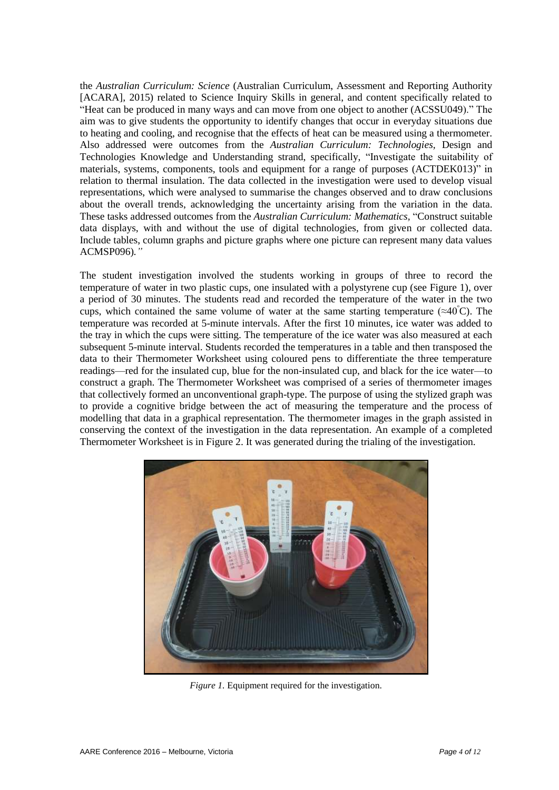the *Australian Curriculum: Science* (Australian Curriculum, Assessment and Reporting Authority [ACARA], 2015) related to Science Inquiry Skills in general, and content specifically related to "Heat can be produced in many ways and can move from one object to another (ACSSU049)." The aim was to give students the opportunity to identify changes that occur in everyday situations due to heating and cooling, and recognise that the effects of heat can be measured using a thermometer. Also addressed were outcomes from the *Australian Curriculum: Technologies,* Design and Technologies Knowledge and Understanding strand, specifically, "Investigate the suitability of materials, systems, components, tools and equipment for a range of purposes (ACTDEK013)" in relation to thermal insulation. The data collected in the investigation were used to develop visual representations, which were analysed to summarise the changes observed and to draw conclusions about the overall trends, acknowledging the uncertainty arising from the variation in the data. These tasks addressed outcomes from the *Australian Curriculum: Mathematics*, "Construct suitable data displays, with and without the use of digital technologies, from given or collected data. Include tables, column graphs and picture graphs where one picture can represent many data values ACMSP096)*."*

The student investigation involved the students working in groups of three to record the temperature of water in two plastic cups, one insulated with a polystyrene cup (see Figure 1), over a period of 30 minutes. The students read and recorded the temperature of the water in the two cups, which contained the same volume of water at the same starting temperature ( $\approx 40^{\circ}$ C). The temperature was recorded at 5-minute intervals. After the first 10 minutes, ice water was added to the tray in which the cups were sitting. The temperature of the ice water was also measured at each subsequent 5-minute interval. Students recorded the temperatures in a table and then transposed the data to their Thermometer Worksheet using coloured pens to differentiate the three temperature readings—red for the insulated cup, blue for the non-insulated cup, and black for the ice water—to construct a graph. The Thermometer Worksheet was comprised of a series of thermometer images that collectively formed an unconventional graph-type. The purpose of using the stylized graph was to provide a cognitive bridge between the act of measuring the temperature and the process of modelling that data in a graphical representation. The thermometer images in the graph assisted in conserving the context of the investigation in the data representation. An example of a completed Thermometer Worksheet is in Figure 2. It was generated during the trialing of the investigation.



*Figure 1.* Equipment required for the investigation.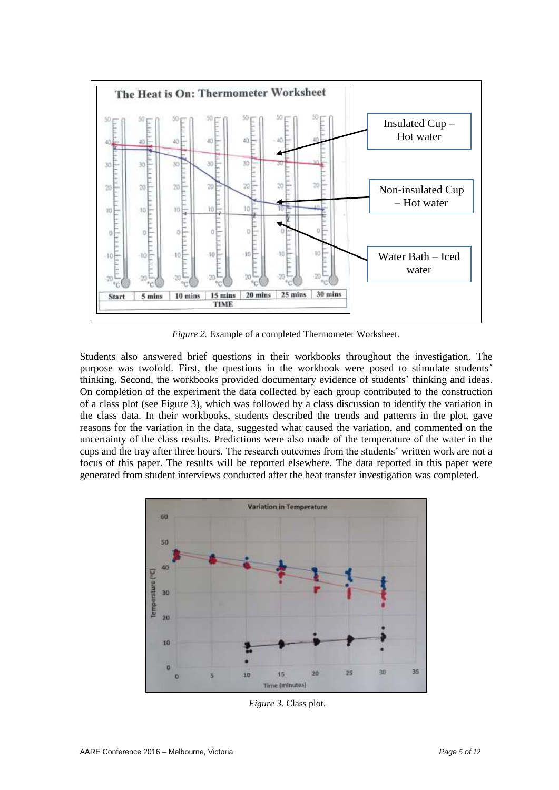

*Figure 2.* Example of a completed Thermometer Worksheet.

Students also answered brief questions in their workbooks throughout the investigation. The purpose was twofold. First, the questions in the workbook were posed to stimulate students' thinking. Second, the workbooks provided documentary evidence of students' thinking and ideas. On completion of the experiment the data collected by each group contributed to the construction of a class plot (see Figure 3), which was followed by a class discussion to identify the variation in the class data. In their workbooks, students described the trends and patterns in the plot, gave reasons for the variation in the data, suggested what caused the variation, and commented on the uncertainty of the class results. Predictions were also made of the temperature of the water in the cups and the tray after three hours. The research outcomes from the students' written work are not a focus of this paper. The results will be reported elsewhere. The data reported in this paper were generated from student interviews conducted after the heat transfer investigation was completed.



*Figure 3.* Class plot.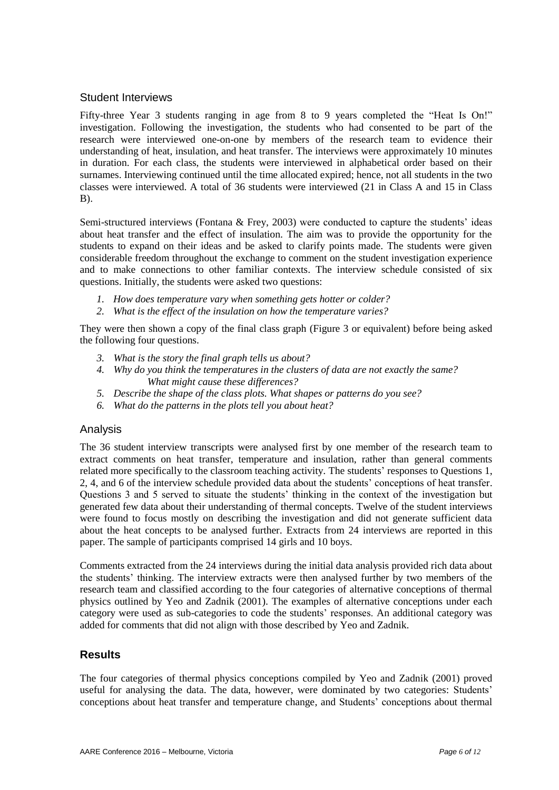### Student Interviews

Fifty-three Year 3 students ranging in age from 8 to 9 years completed the "Heat Is On!" investigation. Following the investigation, the students who had consented to be part of the research were interviewed one-on-one by members of the research team to evidence their understanding of heat, insulation, and heat transfer. The interviews were approximately 10 minutes in duration. For each class, the students were interviewed in alphabetical order based on their surnames. Interviewing continued until the time allocated expired; hence, not all students in the two classes were interviewed. A total of 36 students were interviewed (21 in Class A and 15 in Class B).

Semi-structured interviews (Fontana  $&$  Frey, 2003) were conducted to capture the students' ideas about heat transfer and the effect of insulation. The aim was to provide the opportunity for the students to expand on their ideas and be asked to clarify points made. The students were given considerable freedom throughout the exchange to comment on the student investigation experience and to make connections to other familiar contexts. The interview schedule consisted of six questions. Initially, the students were asked two questions:

- *1. How does temperature vary when something gets hotter or colder?*
- *2. What is the effect of the insulation on how the temperature varies?*

They were then shown a copy of the final class graph (Figure 3 or equivalent) before being asked the following four questions.

- *3. What is the story the final graph tells us about?*
- *4. Why do you think the temperatures in the clusters of data are not exactly the same? What might cause these differences?*
- *5. Describe the shape of the class plots. What shapes or patterns do you see?*
- *6. What do the patterns in the plots tell you about heat?*

#### Analysis

The 36 student interview transcripts were analysed first by one member of the research team to extract comments on heat transfer, temperature and insulation, rather than general comments related more specifically to the classroom teaching activity. The students' responses to Questions 1, 2, 4, and 6 of the interview schedule provided data about the students' conceptions of heat transfer. Questions 3 and 5 served to situate the students' thinking in the context of the investigation but generated few data about their understanding of thermal concepts. Twelve of the student interviews were found to focus mostly on describing the investigation and did not generate sufficient data about the heat concepts to be analysed further. Extracts from 24 interviews are reported in this paper. The sample of participants comprised 14 girls and 10 boys.

Comments extracted from the 24 interviews during the initial data analysis provided rich data about the students' thinking. The interview extracts were then analysed further by two members of the research team and classified according to the four categories of alternative conceptions of thermal physics outlined by Yeo and Zadnik (2001). The examples of alternative conceptions under each category were used as sub-categories to code the students' responses. An additional category was added for comments that did not align with those described by Yeo and Zadnik.

# **Results**

The four categories of thermal physics conceptions compiled by Yeo and Zadnik (2001) proved useful for analysing the data. The data, however, were dominated by two categories: Students' conceptions about heat transfer and temperature change, and Students' conceptions about thermal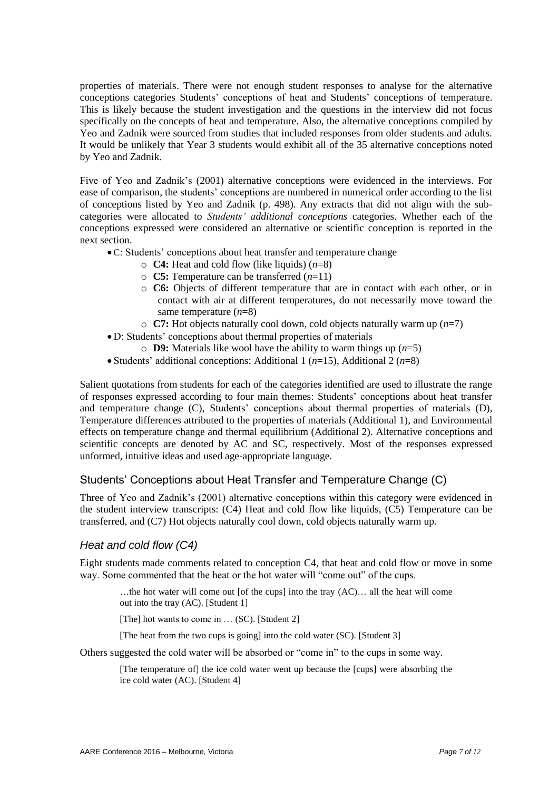properties of materials. There were not enough student responses to analyse for the alternative conceptions categories Students' conceptions of heat and Students' conceptions of temperature. This is likely because the student investigation and the questions in the interview did not focus specifically on the concepts of heat and temperature. Also, the alternative conceptions compiled by Yeo and Zadnik were sourced from studies that included responses from older students and adults. It would be unlikely that Year 3 students would exhibit all of the 35 alternative conceptions noted by Yeo and Zadnik.

Five of Yeo and Zadnik's (2001) alternative conceptions were evidenced in the interviews. For ease of comparison, the students' conceptions are numbered in numerical order according to the list of conceptions listed by Yeo and Zadnik (p. 498). Any extracts that did not align with the subcategories were allocated to *Students' additional conceptions* categories. Whether each of the conceptions expressed were considered an alternative or scientific conception is reported in the next section.

- C: Students' conceptions about heat transfer and temperature change
	- o **C4:** Heat and cold flow (like liquids) (*n*=8)
	- o **C5:** Temperature can be transferred (*n*=11)
	- o **C6:** Objects of different temperature that are in contact with each other, or in contact with air at different temperatures, do not necessarily move toward the same temperature (*n*=8)
	- o **C7:** Hot objects naturally cool down, cold objects naturally warm up (*n*=7)
- D: Students' conceptions about thermal properties of materials
	- o **D9:** Materials like wool have the ability to warm things up (*n*=5)
- Students' additional conceptions: Additional 1 (*n*=15), Additional 2 (*n*=8)

Salient quotations from students for each of the categories identified are used to illustrate the range of responses expressed according to four main themes: Students' conceptions about heat transfer and temperature change (C), Students' conceptions about thermal properties of materials (D), Temperature differences attributed to the properties of materials (Additional 1), and Environmental effects on temperature change and thermal equilibrium (Additional 2). Alternative conceptions and scientific concepts are denoted by AC and SC, respectively. Most of the responses expressed unformed, intuitive ideas and used age-appropriate language.

# Students' Conceptions about Heat Transfer and Temperature Change (C)

Three of Yeo and Zadnik's (2001) alternative conceptions within this category were evidenced in the student interview transcripts: (C4) Heat and cold flow like liquids, (C5) Temperature can be transferred, and (C7) Hot objects naturally cool down, cold objects naturally warm up.

# *Heat and cold flow (C4)*

Eight students made comments related to conception C4, that heat and cold flow or move in some way. Some commented that the heat or the hot water will "come out" of the cups.

…the hot water will come out [of the cups] into the tray (AC)… all the heat will come out into the tray (AC). [Student 1]

[The] hot wants to come in ... (SC). [Student 2]

[The heat from the two cups is going] into the cold water (SC). [Student 3]

Others suggested the cold water will be absorbed or "come in" to the cups in some way.

[The temperature of] the ice cold water went up because the [cups] were absorbing the ice cold water (AC). [Student 4]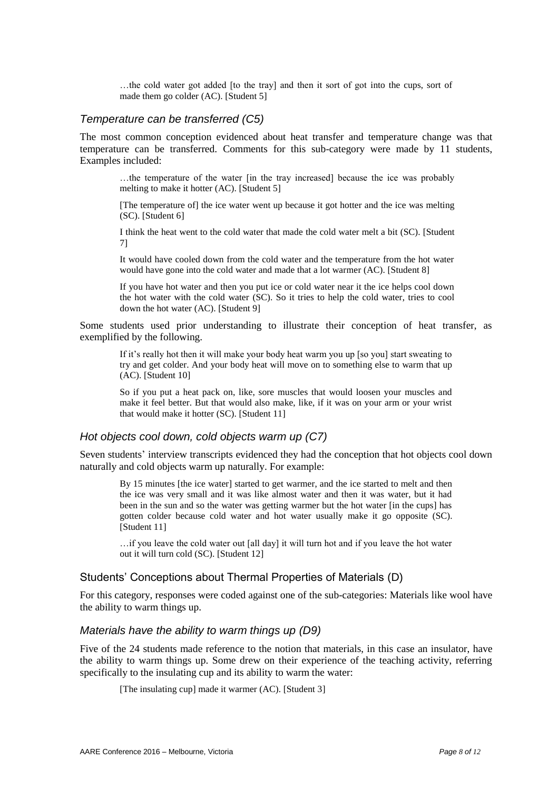…the cold water got added [to the tray] and then it sort of got into the cups, sort of made them go colder (AC). [Student 5]

#### *Temperature can be transferred (C5)*

The most common conception evidenced about heat transfer and temperature change was that temperature can be transferred. Comments for this sub-category were made by 11 students, Examples included:

…the temperature of the water [in the tray increased] because the ice was probably melting to make it hotter (AC). [Student 5]

[The temperature of] the ice water went up because it got hotter and the ice was melting (SC). [Student 6]

I think the heat went to the cold water that made the cold water melt a bit (SC). [Student 7]

It would have cooled down from the cold water and the temperature from the hot water would have gone into the cold water and made that a lot warmer (AC). [Student 8]

If you have hot water and then you put ice or cold water near it the ice helps cool down the hot water with the cold water (SC). So it tries to help the cold water, tries to cool down the hot water (AC). [Student 9]

Some students used prior understanding to illustrate their conception of heat transfer, as exemplified by the following.

If it's really hot then it will make your body heat warm you up [so you] start sweating to try and get colder. And your body heat will move on to something else to warm that up (AC). [Student 10]

So if you put a heat pack on, like, sore muscles that would loosen your muscles and make it feel better. But that would also make, like, if it was on your arm or your wrist that would make it hotter (SC). [Student 11]

#### *Hot objects cool down, cold objects warm up (C7)*

Seven students' interview transcripts evidenced they had the conception that hot objects cool down naturally and cold objects warm up naturally. For example:

By 15 minutes [the ice water] started to get warmer, and the ice started to melt and then the ice was very small and it was like almost water and then it was water, but it had been in the sun and so the water was getting warmer but the hot water [in the cups] has gotten colder because cold water and hot water usually make it go opposite (SC). [Student 11]

…if you leave the cold water out [all day] it will turn hot and if you leave the hot water out it will turn cold (SC). [Student 12]

#### Students' Conceptions about Thermal Properties of Materials (D)

For this category, responses were coded against one of the sub-categories: Materials like wool have the ability to warm things up.

### *Materials have the ability to warm things up (D9)*

Five of the 24 students made reference to the notion that materials, in this case an insulator, have the ability to warm things up. Some drew on their experience of the teaching activity, referring specifically to the insulating cup and its ability to warm the water:

[The insulating cup] made it warmer (AC). [Student 3]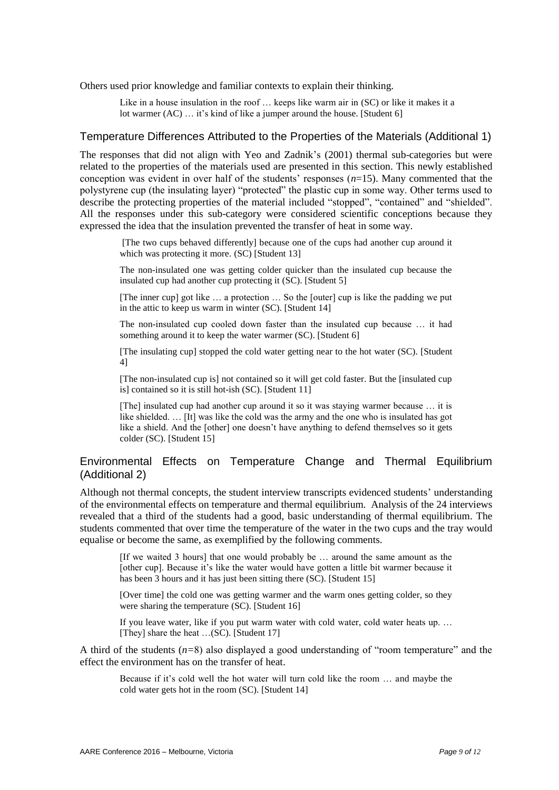Others used prior knowledge and familiar contexts to explain their thinking.

Like in a house insulation in the roof ... keeps like warm air in (SC) or like it makes it a lot warmer (AC) ... it's kind of like a jumper around the house. [Student 6]

#### Temperature Differences Attributed to the Properties of the Materials (Additional 1)

The responses that did not align with Yeo and Zadnik's (2001) thermal sub-categories but were related to the properties of the materials used are presented in this section. This newly established conception was evident in over half of the students' responses (*n*=15). Many commented that the polystyrene cup (the insulating layer) "protected" the plastic cup in some way. Other terms used to describe the protecting properties of the material included "stopped", "contained" and "shielded". All the responses under this sub-category were considered scientific conceptions because they expressed the idea that the insulation prevented the transfer of heat in some way.

[The two cups behaved differently] because one of the cups had another cup around it which was protecting it more. (SC) [Student 13]

The non-insulated one was getting colder quicker than the insulated cup because the insulated cup had another cup protecting it (SC). [Student 5]

[The inner cup] got like … a protection … So the [outer] cup is like the padding we put in the attic to keep us warm in winter (SC). [Student 14]

The non-insulated cup cooled down faster than the insulated cup because … it had something around it to keep the water warmer (SC). [Student 6]

[The insulating cup] stopped the cold water getting near to the hot water (SC). [Student 4]

[The non-insulated cup is] not contained so it will get cold faster. But the [insulated cup is] contained so it is still hot-ish (SC). [Student 11]

[The] insulated cup had another cup around it so it was staying warmer because … it is like shielded. … [It] was like the cold was the army and the one who is insulated has got like a shield. And the [other] one doesn't have anything to defend themselves so it gets colder (SC). [Student 15]

# Environmental Effects on Temperature Change and Thermal Equilibrium (Additional 2)

Although not thermal concepts, the student interview transcripts evidenced students' understanding of the environmental effects on temperature and thermal equilibrium. Analysis of the 24 interviews revealed that a third of the students had a good, basic understanding of thermal equilibrium. The students commented that over time the temperature of the water in the two cups and the tray would equalise or become the same, as exemplified by the following comments.

[If we waited 3 hours] that one would probably be … around the same amount as the [other cup]. Because it's like the water would have gotten a little bit warmer because it has been 3 hours and it has just been sitting there (SC). [Student 15]

[Over time] the cold one was getting warmer and the warm ones getting colder, so they were sharing the temperature (SC). [Student 16]

If you leave water, like if you put warm water with cold water, cold water heats up. … [They] share the heat ...(SC). [Student 17]

A third of the students  $(n=8)$  also displayed a good understanding of "room temperature" and the effect the environment has on the transfer of heat.

Because if it's cold well the hot water will turn cold like the room … and maybe the cold water gets hot in the room (SC). [Student 14]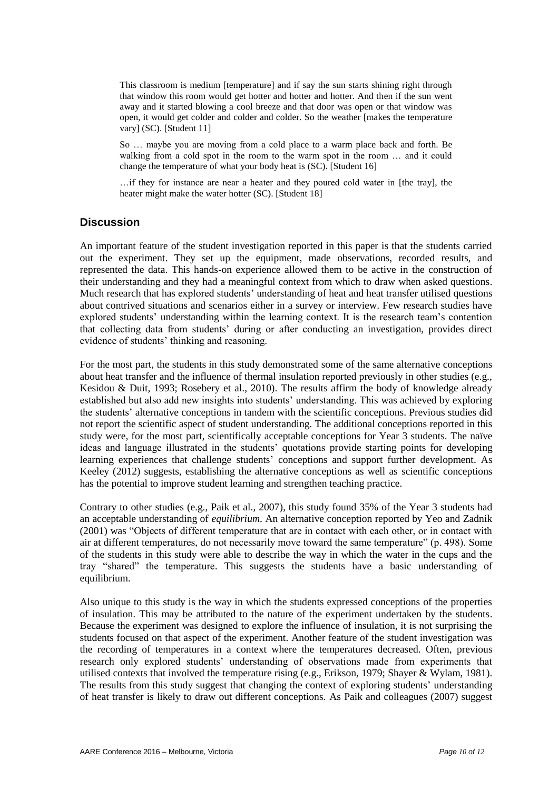This classroom is medium [temperature] and if say the sun starts shining right through that window this room would get hotter and hotter and hotter. And then if the sun went away and it started blowing a cool breeze and that door was open or that window was open, it would get colder and colder and colder. So the weather [makes the temperature vary] (SC). [Student 11]

So … maybe you are moving from a cold place to a warm place back and forth. Be walking from a cold spot in the room to the warm spot in the room … and it could change the temperature of what your body heat is (SC). [Student 16]

…if they for instance are near a heater and they poured cold water in [the tray], the heater might make the water hotter (SC). [Student 18]

# **Discussion**

An important feature of the student investigation reported in this paper is that the students carried out the experiment. They set up the equipment, made observations, recorded results, and represented the data. This hands-on experience allowed them to be active in the construction of their understanding and they had a meaningful context from which to draw when asked questions. Much research that has explored students' understanding of heat and heat transfer utilised questions about contrived situations and scenarios either in a survey or interview. Few research studies have explored students' understanding within the learning context. It is the research team's contention that collecting data from students' during or after conducting an investigation, provides direct evidence of students' thinking and reasoning.

For the most part, the students in this study demonstrated some of the same alternative conceptions about heat transfer and the influence of thermal insulation reported previously in other studies (e.g., Kesidou & Duit, 1993; Rosebery et al., 2010). The results affirm the body of knowledge already established but also add new insights into students' understanding. This was achieved by exploring the students' alternative conceptions in tandem with the scientific conceptions. Previous studies did not report the scientific aspect of student understanding. The additional conceptions reported in this study were, for the most part, scientifically acceptable conceptions for Year 3 students. The naïve ideas and language illustrated in the students' quotations provide starting points for developing learning experiences that challenge students' conceptions and support further development. As Keeley (2012) suggests, establishing the alternative conceptions as well as scientific conceptions has the potential to improve student learning and strengthen teaching practice.

Contrary to other studies (e.g., Paik et al., 2007), this study found 35% of the Year 3 students had an acceptable understanding of *equilibrium*. An alternative conception reported by Yeo and Zadnik (2001) was "Objects of different temperature that are in contact with each other, or in contact with air at different temperatures, do not necessarily move toward the same temperature" (p. 498). Some of the students in this study were able to describe the way in which the water in the cups and the tray ―shared‖ the temperature. This suggests the students have a basic understanding of equilibrium.

Also unique to this study is the way in which the students expressed conceptions of the properties of insulation. This may be attributed to the nature of the experiment undertaken by the students. Because the experiment was designed to explore the influence of insulation, it is not surprising the students focused on that aspect of the experiment. Another feature of the student investigation was the recording of temperatures in a context where the temperatures decreased. Often, previous research only explored students' understanding of observations made from experiments that utilised contexts that involved the temperature rising (e.g., Erikson, 1979; Shayer & Wylam, 1981). The results from this study suggest that changing the context of exploring students' understanding of heat transfer is likely to draw out different conceptions. As Paik and colleagues (2007) suggest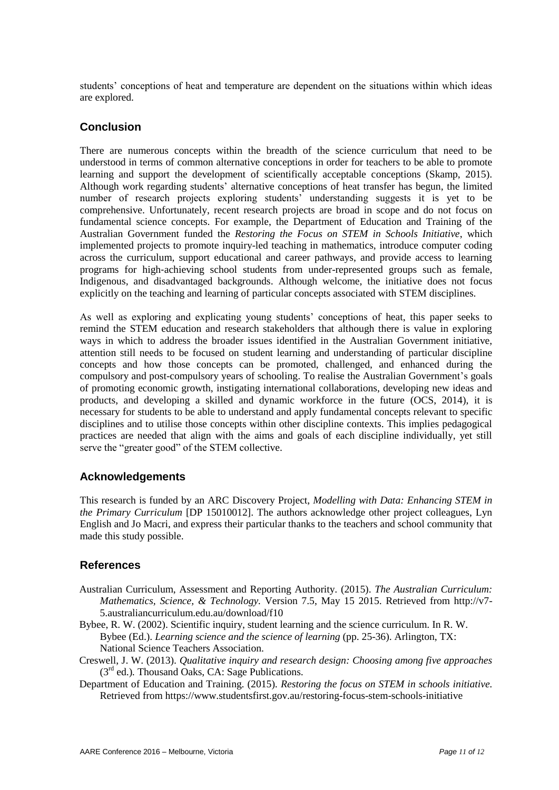students' conceptions of heat and temperature are dependent on the situations within which ideas are explored.

# **Conclusion**

There are numerous concepts within the breadth of the science curriculum that need to be understood in terms of common alternative conceptions in order for teachers to be able to promote learning and support the development of scientifically acceptable conceptions (Skamp, 2015). Although work regarding students' alternative conceptions of heat transfer has begun, the limited number of research projects exploring students' understanding suggests it is yet to be comprehensive. Unfortunately, recent research projects are broad in scope and do not focus on fundamental science concepts. For example, the Department of Education and Training of the Australian Government funded the *Restoring the Focus on STEM in Schools Initiative*, which implemented projects to promote inquiry-led teaching in mathematics, introduce computer coding across the curriculum, support educational and career pathways, and provide access to learning programs for high-achieving school students from under-represented groups such as female, Indigenous, and disadvantaged backgrounds. Although welcome, the initiative does not focus explicitly on the teaching and learning of particular concepts associated with STEM disciplines.

As well as exploring and explicating young students' conceptions of heat, this paper seeks to remind the STEM education and research stakeholders that although there is value in exploring ways in which to address the broader issues identified in the Australian Government initiative, attention still needs to be focused on student learning and understanding of particular discipline concepts and how those concepts can be promoted, challenged, and enhanced during the compulsory and post-compulsory years of schooling. To realise the Australian Government's goals of promoting economic growth, instigating international collaborations, developing new ideas and products, and developing a skilled and dynamic workforce in the future (OCS, 2014), it is necessary for students to be able to understand and apply fundamental concepts relevant to specific disciplines and to utilise those concepts within other discipline contexts. This implies pedagogical practices are needed that align with the aims and goals of each discipline individually, yet still serve the "greater good" of the STEM collective.

# **Acknowledgements**

This research is funded by an ARC Discovery Project, *Modelling with Data: Enhancing STEM in the Primary Curriculum* [DP 15010012]. The authors acknowledge other project colleagues, Lyn English and Jo Macri, and express their particular thanks to the teachers and school community that made this study possible.

# **References**

- Australian Curriculum, Assessment and Reporting Authority. (2015). *The Australian Curriculum: Mathematics, Science, & Technology.* Version 7.5, May 15 2015. Retrieved from http://v7- 5.australiancurriculum.edu.au/download/f10
- Bybee, R. W. (2002). Scientific inquiry, student learning and the science curriculum. In R. W. Bybee (Ed.). *Learning science and the science of learning* (pp. 25-36). Arlington, TX: National Science Teachers Association.
- Creswell, J. W. (2013). *Qualitative inquiry and research design: Choosing among five approaches*  (3rd ed.)*.* Thousand Oaks, CA: Sage Publications.
- Department of Education and Training. (2015). *Restoring the focus on STEM in schools initiative.* Retrieved from https://www.studentsfirst.gov.au/restoring-focus-stem-schools-initiative